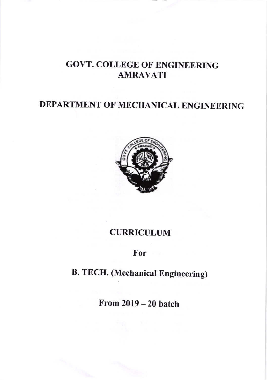## GOVT. COLLEGE OF ENGINEERING AMRAVATI

## DEPARTMENT OF MECHANICAL ENGINEERING



### CURRICULUM

### For

# B. TECH. (Mechanical Engineering)

From 2019 - 20 batch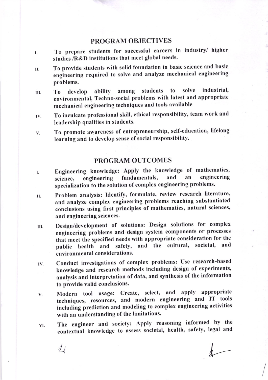### PROGRAM OBJECTIVES

- r. To prepare students for successful careers in industry/ higher studies /R&D institutions that meet global needs.
- II. To provide students with solid foundation in basic science and basic engineering required to solve and analyze mechanical engineering problems.
- III. To develop ability among students to solve industrial environmental, Techno-social probtems with latest and appropriate mechanical engineering techniques and tools available
- rv. To inculcate professional skill, ethical responsibility, team work and leadership qualities in students.
- v. To promote awareness of entrepreneurship, self-education, lifelong learning and to develop sense of social responsibility.

### PROGRAM OUTCOMES

- Engineering knowledge: Apply the knowledge of mathematics, science, engineering fundamentals, and an engineering specialization to the solution of complex engineering problems. t.
- II. Problem analysis: Identify, formulate, review research literature, and analyze complex engineering problems reaching substantiated conclusions using first principles of mathematics, natural sciences, and engineering sciences.
- III. Design/development of solutions: Design solutions for complex engineering problems and design system components or processes that meet the specified needs with appropriate consideration for the public health and safety, and the cultural, societal, and environmental considerations.
- lv. Conduct investigations of complex problems: Use research-based knowledge and research methods including design of experiments, analysis and interpretation of data, and synthesis of the information to provide valid conclusions.
- Modern tool usage: Create, select, and apply appropriate V. techniques, resources, and modern engineering and IT tools including prediction and modeling to complex engineering activities with an understanding of the limitations.
- The engineer and society: Apply reasoning informed by the contextual knowledge to assess societal, health, safety, legal and vl.

 $\Delta$ 

 $\overline{\phantom{a}}$